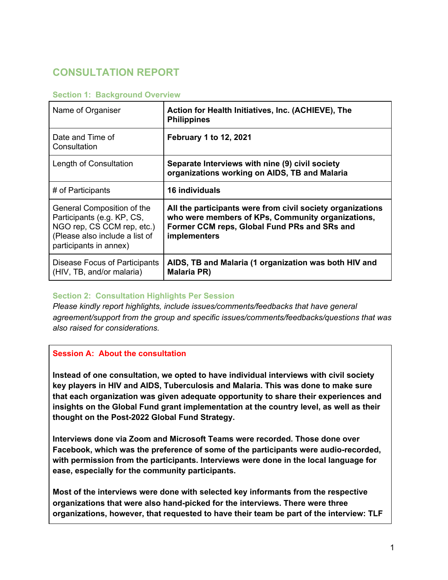# **CONSULTATION REPORT**

| Name of Organiser                                                                                                                                  | Action for Health Initiatives, Inc. (ACHIEVE), The<br><b>Philippines</b>                                                                                                        |
|----------------------------------------------------------------------------------------------------------------------------------------------------|---------------------------------------------------------------------------------------------------------------------------------------------------------------------------------|
| Date and Time of<br>Consultation                                                                                                                   | <b>February 1 to 12, 2021</b>                                                                                                                                                   |
| Length of Consultation                                                                                                                             | Separate Interviews with nine (9) civil society<br>organizations working on AIDS, TB and Malaria                                                                                |
| # of Participants                                                                                                                                  | <b>16 individuals</b>                                                                                                                                                           |
| General Composition of the<br>Participants (e.g. KP, CS,<br>NGO rep, CS CCM rep, etc.)<br>(Please also include a list of<br>participants in annex) | All the participants were from civil society organizations<br>who were members of KPs, Community organizations,<br>Former CCM reps, Global Fund PRs and SRs and<br>implementers |
| Disease Focus of Participants<br>(HIV, TB, and/or malaria)                                                                                         | AIDS, TB and Malaria (1 organization was both HIV and<br><b>Malaria PR)</b>                                                                                                     |

#### **Section 1: Background Overview**

# **Section 2: Consultation Highlights Per Session**

*Please kindly report highlights, include issues/comments/feedbacks that have general agreement/support from the group and specific issues/comments/feedbacks/questions that was also raised for considerations.* 

#### **Session A: About the consultation**

**Instead of one consultation, we opted to have individual interviews with civil society key players in HIV and AIDS, Tuberculosis and Malaria. This was done to make sure that each organization was given adequate opportunity to share their experiences and insights on the Global Fund grant implementation at the country level, as well as their thought on the Post-2022 Global Fund Strategy.** 

**Interviews done via Zoom and Microsoft Teams were recorded. Those done over Facebook, which was the preference of some of the participants were audio-recorded, with permission from the participants. Interviews were done in the local language for ease, especially for the community participants.** 

**Most of the interviews were done with selected key informants from the respective organizations that were also hand-picked for the interviews. There were three organizations, however, that requested to have their team be part of the interview: TLF**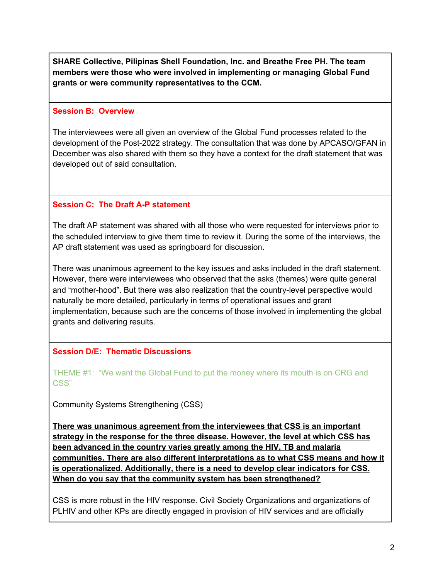**SHARE Collective, Pilipinas Shell Foundation, Inc. and Breathe Free PH. The team members were those who were involved in implementing or managing Global Fund grants or were community representatives to the CCM.** 

#### **Session B: Overview**

The interviewees were all given an overview of the Global Fund processes related to the development of the Post-2022 strategy. The consultation that was done by APCASO/GFAN in December was also shared with them so they have a context for the draft statement that was developed out of said consultation.

### **Session C: The Draft A-P statement**

The draft AP statement was shared with all those who were requested for interviews prior to the scheduled interview to give them time to review it. During the some of the interviews, the AP draft statement was used as springboard for discussion.

There was unanimous agreement to the key issues and asks included in the draft statement. However, there were interviewees who observed that the asks (themes) were quite general and "mother-hood". But there was also realization that the country-level perspective would naturally be more detailed, particularly in terms of operational issues and grant implementation, because such are the concerns of those involved in implementing the global grants and delivering results.

# **Session D/E: Thematic Discussions**

THEME #1: "We want the Global Fund to put the money where its mouth is on CRG and CSS"

Community Systems Strengthening (CSS)

**There was unanimous agreement from the interviewees that CSS is an important strategy in the response for the three disease. However, the level at which CSS has been advanced in the country varies greatly among the HIV, TB and malaria communities. There are also different interpretations as to what CSS means and how it is operationalized. Additionally, there is a need to develop clear indicators for CSS. When do you say that the community system has been strengthened?** 

CSS is more robust in the HIV response. Civil Society Organizations and organizations of PLHIV and other KPs are directly engaged in provision of HIV services and are officially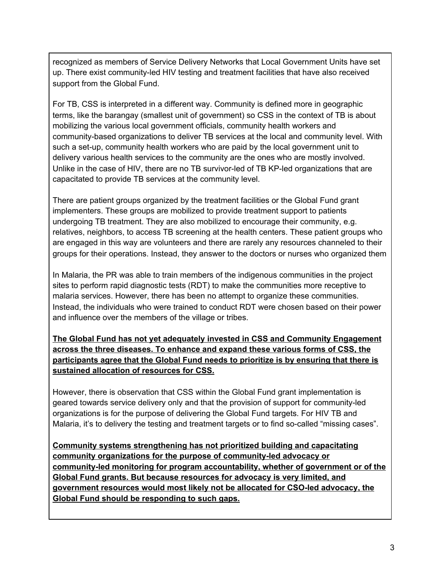recognized as members of Service Delivery Networks that Local Government Units have set up. There exist community-led HIV testing and treatment facilities that have also received support from the Global Fund.

For TB, CSS is interpreted in a different way. Community is defined more in geographic terms, like the barangay (smallest unit of government) so CSS in the context of TB is about mobilizing the various local government officials, community health workers and community-based organizations to deliver TB services at the local and community level. With such a set-up, community health workers who are paid by the local government unit to delivery various health services to the community are the ones who are mostly involved. Unlike in the case of HIV, there are no TB survivor-led of TB KP-led organizations that are capacitated to provide TB services at the community level.

There are patient groups organized by the treatment facilities or the Global Fund grant implementers. These groups are mobilized to provide treatment support to patients undergoing TB treatment. They are also mobilized to encourage their community, e.g. relatives, neighbors, to access TB screening at the health centers. These patient groups who are engaged in this way are volunteers and there are rarely any resources channeled to their groups for their operations. Instead, they answer to the doctors or nurses who organized them

In Malaria, the PR was able to train members of the indigenous communities in the project sites to perform rapid diagnostic tests (RDT) to make the communities more receptive to malaria services. However, there has been no attempt to organize these communities. Instead, the individuals who were trained to conduct RDT were chosen based on their power and influence over the members of the village or tribes.

**The Global Fund has not yet adequately invested in CSS and Community Engagement across the three diseases. To enhance and expand these various forms of CSS, the participants agree that the Global Fund needs to prioritize is by ensuring that there is sustained allocation of resources for CSS.** 

However, there is observation that CSS within the Global Fund grant implementation is geared towards service delivery only and that the provision of support for community-led organizations is for the purpose of delivering the Global Fund targets. For HIV TB and Malaria, it's to delivery the testing and treatment targets or to find so-called "missing cases".

**Community systems strengthening has not prioritized building and capacitating community organizations for the purpose of community-led advocacy or community-led monitoring for program accountability, whether of government or of the Global Fund grants. But because resources for advocacy is very limited, and government resources would most likely not be allocated for CSO-led advocacy, the Global Fund should be responding to such gaps.**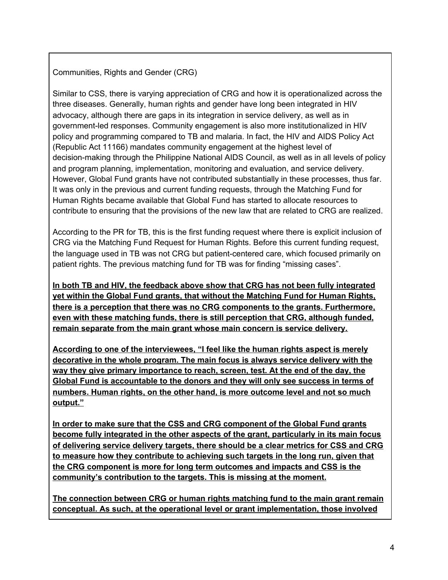Communities, Rights and Gender (CRG)

Similar to CSS, there is varying appreciation of CRG and how it is operationalized across the three diseases. Generally, human rights and gender have long been integrated in HIV advocacy, although there are gaps in its integration in service delivery, as well as in government-led responses. Community engagement is also more institutionalized in HIV policy and programming compared to TB and malaria. In fact, the HIV and AIDS Policy Act (Republic Act 11166) mandates community engagement at the highest level of decision-making through the Philippine National AIDS Council, as well as in all levels of policy and program planning, implementation, monitoring and evaluation, and service delivery. However, Global Fund grants have not contributed substantially in these processes, thus far. It was only in the previous and current funding requests, through the Matching Fund for Human Rights became available that Global Fund has started to allocate resources to contribute to ensuring that the provisions of the new law that are related to CRG are realized.

According to the PR for TB, this is the first funding request where there is explicit inclusion of CRG via the Matching Fund Request for Human Rights. Before this current funding request, the language used in TB was not CRG but patient-centered care, which focused primarily on patient rights. The previous matching fund for TB was for finding "missing cases".

**In both TB and HIV, the feedback above show that CRG has not been fully integrated yet within the Global Fund grants, that without the Matching Fund for Human Rights, there is a perception that there was no CRG components to the grants. Furthermore, even with these matching funds, there is still perception that CRG, although funded, remain separate from the main grant whose main concern is service delivery.** 

**According to one of the interviewees, "I feel like the human rights aspect is merely decorative in the whole program. The main focus is always service delivery with the way they give primary importance to reach, screen, test. At the end of the day, the Global Fund is accountable to the donors and they will only see success in terms of numbers. Human rights, on the other hand, is more outcome level and not so much output."** 

**In order to make sure that the CSS and CRG component of the Global Fund grants become fully integrated in the other aspects of the grant, particularly in its main focus of delivering service delivery targets, there should be a clear metrics for CSS and CRG to measure how they contribute to achieving such targets in the long run, given that the CRG component is more for long term outcomes and impacts and CSS is the community's contribution to the targets. This is missing at the moment.** 

**The connection between CRG or human rights matching fund to the main grant remain conceptual. As such, at the operational level or grant implementation, those involved**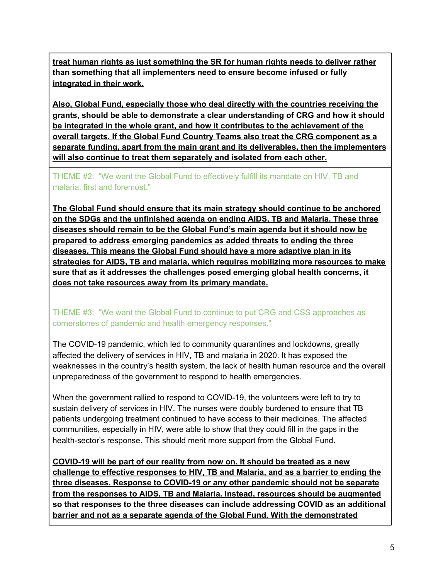**treat human rights as just something the SR for human rights needs to deliver rather than something that all implementers need to ensure become infused or fully integrated in their work.** 

**Also, Global Fund, especially those who deal directly with the countries receiving the grants, should be able to demonstrate a clear understanding of CRG and how it should be integrated in the whole grant, and how it contributes to the achievement of the overall targets. If the Global Fund Country Teams also treat the CRG component as a separate funding, apart from the main grant and its deliverables, then the implementers will also continue to treat them separately and isolated from each other.**

THEME #2: "We want the Global Fund to effectively fulfill its mandate on HIV, TB and malaria, first and foremost."

**The Global Fund should ensure that its main strategy should continue to be anchored on the SDGs and the unfinished agenda on ending AIDS, TB and Malaria. These three diseases should remain to be the Global Fund's main agenda but it should now be prepared to address emerging pandemics as added threats to ending the three diseases. This means the Global Fund should have a more adaptive plan in its strategies for AIDS, TB and malaria, which requires mobilizing more resources to make sure that as it addresses the challenges posed emerging global health concerns, it does not take resources away from its primary mandate.** 

# THEME #3: "We want the Global Fund to continue to put CRG and CSS approaches as cornerstones of pandemic and health emergency responses."

The COVID-19 pandemic, which led to community quarantines and lockdowns, greatly affected the delivery of services in HIV, TB and malaria in 2020. It has exposed the weaknesses in the country's health system, the lack of health human resource and the overall unpreparedness of the government to respond to health emergencies.

When the government rallied to respond to COVID-19, the volunteers were left to try to sustain delivery of services in HIV. The nurses were doubly burdened to ensure that TB patients undergoing treatment continued to have access to their medicines. The affected communities, especially in HIV, were able to show that they could fill in the gaps in the health-sector's response. This should merit more support from the Global Fund.

**COVID-19 will be part of our reality from now on. It should be treated as a new challenge to effective responses to HIV, TB and Malaria, and as a barrier to ending the three diseases. Response to COVID-19 or any other pandemic should not be separate from the responses to AIDS, TB and Malaria. Instead, resources should be augmented so that responses to the three diseases can include addressing COVID as an additional barrier and not as a separate agenda of the Global Fund. With the demonstrated**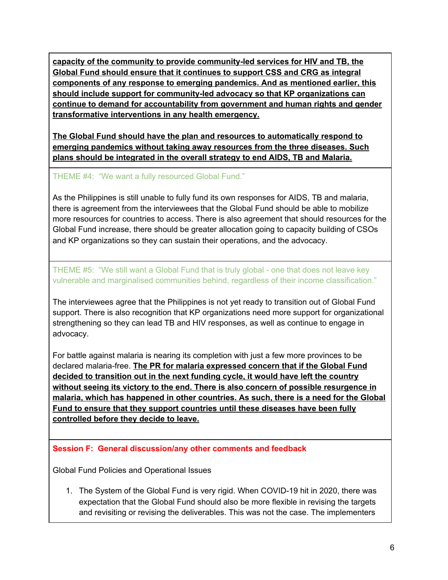**capacity of the community to provide community-led services for HIV and TB, the Global Fund should ensure that it continues to support CSS and CRG as integral components of any response to emerging pandemics. And as mentioned earlier, this should include support for community-led advocacy so that KP organizations can continue to demand for accountability from government and human rights and gender transformative interventions in any health emergency.** 

**The Global Fund should have the plan and resources to automatically respond to emerging pandemics without taking away resources from the three diseases. Such plans should be integrated in the overall strategy to end AIDS, TB and Malaria.**

THEME #4: "We want a fully resourced Global Fund."

As the Philippines is still unable to fully fund its own responses for AIDS, TB and malaria, there is agreement from the interviewees that the Global Fund should be able to mobilize more resources for countries to access. There is also agreement that should resources for the Global Fund increase, there should be greater allocation going to capacity building of CSOs and KP organizations so they can sustain their operations, and the advocacy.

THEME #5: "We still want a Global Fund that is truly global - one that does not leave key vulnerable and marginalised communities behind, regardless of their income classification."

The interviewees agree that the Philippines is not yet ready to transition out of Global Fund support. There is also recognition that KP organizations need more support for organizational strengthening so they can lead TB and HIV responses, as well as continue to engage in advocacy.

For battle against malaria is nearing its completion with just a few more provinces to be declared malaria-free. **The PR for malaria expressed concern that if the Global Fund decided to transition out in the next funding cycle, it would have left the country without seeing its victory to the end. There is also concern of possible resurgence in malaria, which has happened in other countries. As such, there is a need for the Global Fund to ensure that they support countries until these diseases have been fully controlled before they decide to leave.**

# **Session F: General discussion/any other comments and feedback**

Global Fund Policies and Operational Issues

1. The System of the Global Fund is very rigid. When COVID-19 hit in 2020, there was expectation that the Global Fund should also be more flexible in revising the targets and revisiting or revising the deliverables. This was not the case. The implementers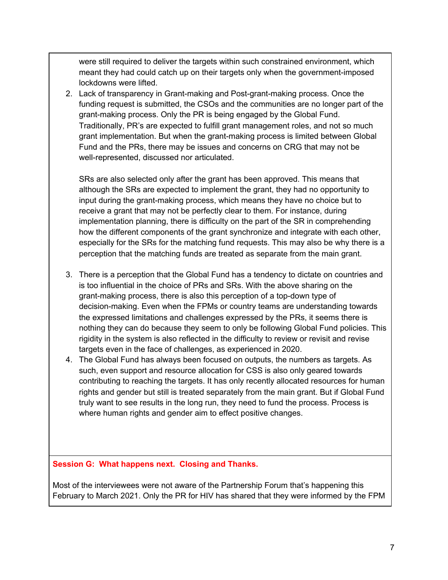were still required to deliver the targets within such constrained environment, which meant they had could catch up on their targets only when the government-imposed lockdowns were lifted.

2. Lack of transparency in Grant-making and Post-grant-making process. Once the funding request is submitted, the CSOs and the communities are no longer part of the grant-making process. Only the PR is being engaged by the Global Fund. Traditionally, PR's are expected to fulfill grant management roles, and not so much grant implementation. But when the grant-making process is limited between Global Fund and the PRs, there may be issues and concerns on CRG that may not be well-represented, discussed nor articulated.

SRs are also selected only after the grant has been approved. This means that although the SRs are expected to implement the grant, they had no opportunity to input during the grant-making process, which means they have no choice but to receive a grant that may not be perfectly clear to them. For instance, during implementation planning, there is difficulty on the part of the SR in comprehending how the different components of the grant synchronize and integrate with each other, especially for the SRs for the matching fund requests. This may also be why there is a perception that the matching funds are treated as separate from the main grant.

- 3. There is a perception that the Global Fund has a tendency to dictate on countries and is too influential in the choice of PRs and SRs. With the above sharing on the grant-making process, there is also this perception of a top-down type of decision-making. Even when the FPMs or country teams are understanding towards the expressed limitations and challenges expressed by the PRs, it seems there is nothing they can do because they seem to only be following Global Fund policies. This rigidity in the system is also reflected in the difficulty to review or revisit and revise targets even in the face of challenges, as experienced in 2020.
- 4. The Global Fund has always been focused on outputs, the numbers as targets. As such, even support and resource allocation for CSS is also only geared towards contributing to reaching the targets. It has only recently allocated resources for human rights and gender but still is treated separately from the main grant. But if Global Fund truly want to see results in the long run, they need to fund the process. Process is where human rights and gender aim to effect positive changes.

#### **Session G: What happens next. Closing and Thanks.**

Most of the interviewees were not aware of the Partnership Forum that's happening this February to March 2021. Only the PR for HIV has shared that they were informed by the FPM